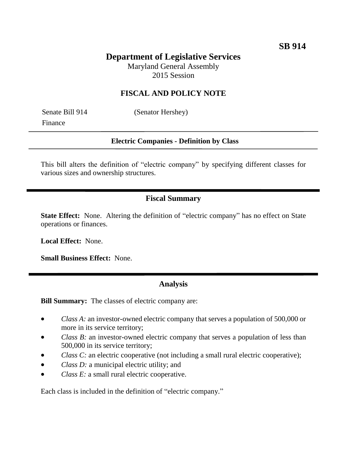# **Department of Legislative Services**

Maryland General Assembly 2015 Session

## **FISCAL AND POLICY NOTE**

Finance

Senate Bill 914 (Senator Hershey)

#### **Electric Companies - Definition by Class**

This bill alters the definition of "electric company" by specifying different classes for various sizes and ownership structures.

### **Fiscal Summary**

**State Effect:** None. Altering the definition of "electric company" has no effect on State operations or finances.

**Local Effect:** None.

**Small Business Effect:** None.

#### **Analysis**

**Bill Summary:** The classes of electric company are:

- *Class A:* an investor-owned electric company that serves a population of 500,000 or more in its service territory;
- *Class B*: an investor-owned electric company that serves a population of less than 500,000 in its service territory;
- *Class C:* an electric cooperative (not including a small rural electric cooperative);
- *Class D:* a municipal electric utility; and
- *Class E:* a small rural electric cooperative.

Each class is included in the definition of "electric company."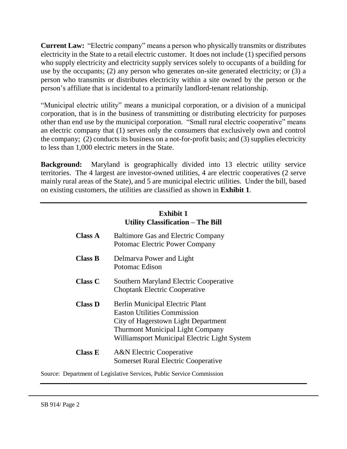**Current Law:** "Electric company" means a person who physically transmits or distributes electricity in the State to a retail electric customer. It does not include (1) specified persons who supply electricity and electricity supply services solely to occupants of a building for use by the occupants; (2) any person who generates on-site generated electricity; or (3) a person who transmits or distributes electricity within a site owned by the person or the person's affiliate that is incidental to a primarily landlord-tenant relationship.

"Municipal electric utility" means a municipal corporation, or a division of a municipal corporation, that is in the business of transmitting or distributing electricity for purposes other than end use by the municipal corporation. "Small rural electric cooperative" means an electric company that (1) serves only the consumers that exclusively own and control the company; (2) conducts its business on a not-for-profit basis; and (3) supplies electricity to less than 1,000 electric meters in the State.

**Background:** Maryland is geographically divided into 13 electric utility service territories. The 4 largest are investor-owned utilities, 4 are electric cooperatives (2 serve mainly rural areas of the State), and 5 are municipal electric utilities. Under the bill, based on existing customers, the utilities are classified as shown in **Exhibit 1**.

|                | <b>Exhibit 1</b><br><b>Utility Classification – The Bill</b>                                                                                                                                                   |
|----------------|----------------------------------------------------------------------------------------------------------------------------------------------------------------------------------------------------------------|
| <b>Class A</b> | <b>Baltimore Gas and Electric Company</b><br><b>Potomac Electric Power Company</b>                                                                                                                             |
| <b>Class B</b> | Delmarva Power and Light<br>Potomac Edison                                                                                                                                                                     |
| <b>Class C</b> | Southern Maryland Electric Cooperative<br><b>Choptank Electric Cooperative</b>                                                                                                                                 |
| <b>Class D</b> | <b>Berlin Municipal Electric Plant</b><br><b>Easton Utilities Commission</b><br>City of Hagerstown Light Department<br><b>Thurmont Municipal Light Company</b><br>Williamsport Municipal Electric Light System |
| Class E        | <b>A&amp;N</b> Electric Cooperative<br><b>Somerset Rural Electric Cooperative</b>                                                                                                                              |

Source: Department of Legislative Services, Public Service Commission